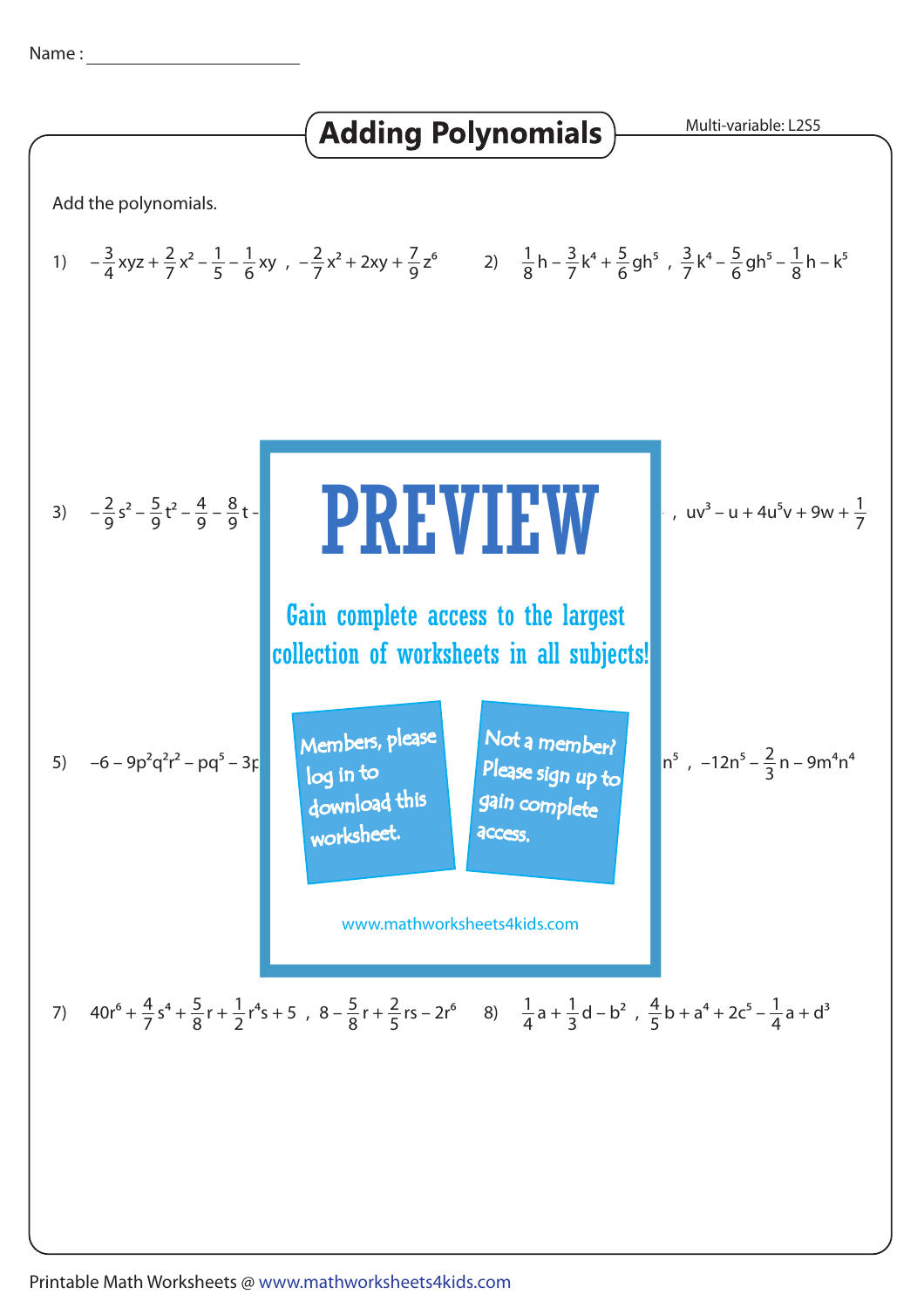